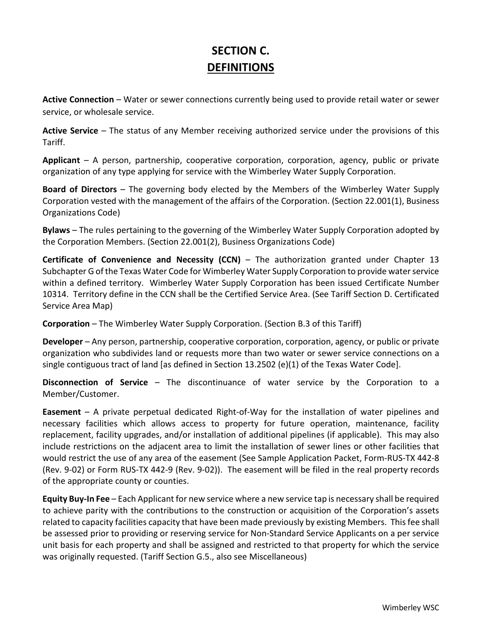## **SECTION C. DEFINITIONS**

**Active Connection** – Water or sewer connections currently being used to provide retail water or sewer service, or wholesale service.

**Active Service** – The status of any Member receiving authorized service under the provisions of this Tariff.

**Applicant** – A person, partnership, cooperative corporation, corporation, agency, public or private organization of any type applying for service with the Wimberley Water Supply Corporation.

**Board of Directors** – The governing body elected by the Members of the Wimberley Water Supply Corporation vested with the management of the affairs of the Corporation. (Section 22.001(1), Business Organizations Code)

**Bylaws** – The rules pertaining to the governing of the Wimberley Water Supply Corporation adopted by the Corporation Members. (Section 22.001(2), Business Organizations Code)

**Certificate of Convenience and Necessity (CCN)** – The authorization granted under Chapter 13 Subchapter G of the Texas Water Code for Wimberley Water Supply Corporation to provide water service within a defined territory. Wimberley Water Supply Corporation has been issued Certificate Number 10314. Territory define in the CCN shall be the Certified Service Area. (See Tariff Section D. Certificated Service Area Map)

**Corporation** – The Wimberley Water Supply Corporation. (Section B.3 of this Tariff)

**Developer** – Any person, partnership, cooperative corporation, corporation, agency, or public or private organization who subdivides land or requests more than two water or sewer service connections on a single contiguous tract of land [as defined in Section 13.2502 (e)(1) of the Texas Water Code].

**Disconnection of Service** – The discontinuance of water service by the Corporation to a Member/Customer.

**Easement** – A private perpetual dedicated Right-of-Way for the installation of water pipelines and necessary facilities which allows access to property for future operation, maintenance, facility replacement, facility upgrades, and/or installation of additional pipelines (if applicable). This may also include restrictions on the adjacent area to limit the installation of sewer lines or other facilities that would restrict the use of any area of the easement (See Sample Application Packet, Form-RUS-TX 442-8 (Rev. 9-02) or Form RUS-TX 442-9 (Rev. 9-02)). The easement will be filed in the real property records of the appropriate county or counties.

**Equity Buy-In Fee** – Each Applicant for new service where a new service tap is necessary shall be required to achieve parity with the contributions to the construction or acquisition of the Corporation's assets related to capacity facilities capacity that have been made previously by existing Members. This fee shall be assessed prior to providing or reserving service for Non-Standard Service Applicants on a per service unit basis for each property and shall be assigned and restricted to that property for which the service was originally requested. (Tariff Section G.5., also see Miscellaneous)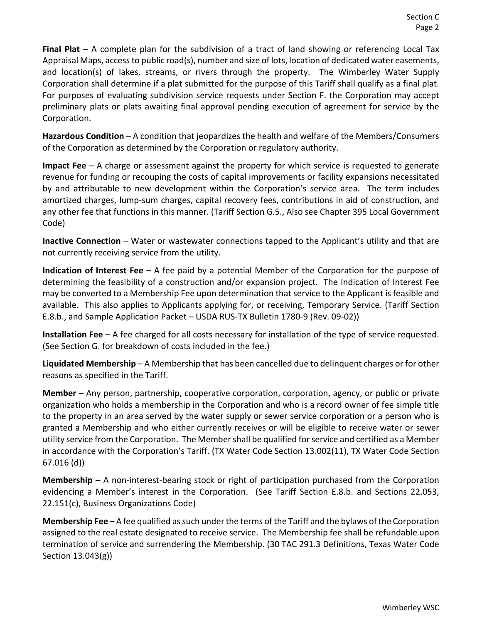**Final Plat** – A complete plan for the subdivision of a tract of land showing or referencing Local Tax Appraisal Maps, access to public road(s), number and size of lots, location of dedicated water easements, and location(s) of lakes, streams, or rivers through the property. The Wimberley Water Supply Corporation shall determine if a plat submitted for the purpose of this Tariff shall qualify as a final plat. For purposes of evaluating subdivision service requests under Section F. the Corporation may accept preliminary plats or plats awaiting final approval pending execution of agreement for service by the Corporation.

**Hazardous Condition** – A condition that jeopardizes the health and welfare of the Members/Consumers of the Corporation as determined by the Corporation or regulatory authority.

**Impact Fee** – A charge or assessment against the property for which service is requested to generate revenue for funding or recouping the costs of capital improvements or facility expansions necessitated by and attributable to new development within the Corporation's service area. The term includes amortized charges, lump-sum charges, capital recovery fees, contributions in aid of construction, and any other fee that functions in this manner. (Tariff Section G.5., Also see Chapter 395 Local Government Code)

**Inactive Connection** – Water or wastewater connections tapped to the Applicant's utility and that are not currently receiving service from the utility.

**Indication of Interest Fee** – A fee paid by a potential Member of the Corporation for the purpose of determining the feasibility of a construction and/or expansion project. The Indication of Interest Fee may be converted to a Membership Fee upon determination that service to the Applicant is feasible and available. This also applies to Applicants applying for, or receiving, Temporary Service. (Tariff Section E.8.b., and Sample Application Packet – USDA RUS-TX Bulletin 1780-9 (Rev. 09-02))

**Installation Fee** – A fee charged for all costs necessary for installation of the type of service requested. (See Section G. for breakdown of costs included in the fee.)

**Liquidated Membership** – A Membership that has been cancelled due to delinquent charges or for other reasons as specified in the Tariff.

**Member** – Any person, partnership, cooperative corporation, corporation, agency, or public or private organization who holds a membership in the Corporation and who is a record owner of fee simple title to the property in an area served by the water supply or sewer service corporation or a person who is granted a Membership and who either currently receives or will be eligible to receive water or sewer utility service from the Corporation. The Member shall be qualified for service and certified as a Member in accordance with the Corporation's Tariff. (TX Water Code Section 13.002(11), TX Water Code Section 67.016 (d))

**Membership –** A non-interest-bearing stock or right of participation purchased from the Corporation evidencing a Member's interest in the Corporation. (See Tariff Section E.8.b. and Sections 22.053, 22.151(c), Business Organizations Code)

**Membership Fee** – A fee qualified as such under the terms of the Tariff and the bylaws of the Corporation assigned to the real estate designated to receive service. The Membership fee shall be refundable upon termination of service and surrendering the Membership. (30 TAC 291.3 Definitions, Texas Water Code Section 13.043(g))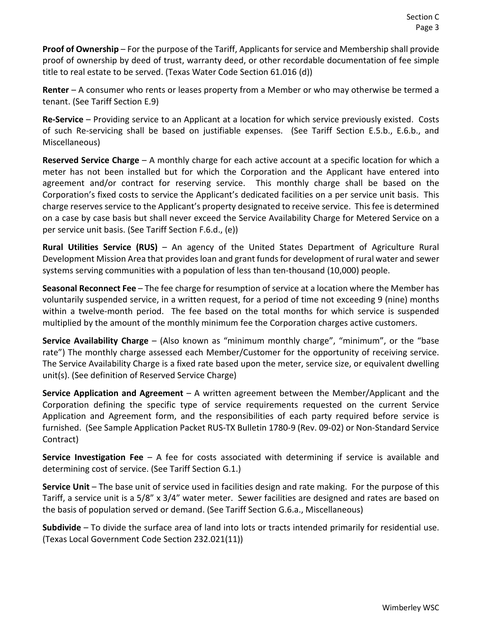**Proof of Ownership** – For the purpose of the Tariff, Applicants for service and Membership shall provide proof of ownership by deed of trust, warranty deed, or other recordable documentation of fee simple title to real estate to be served. (Texas Water Code Section 61.016 (d))

**Renter** – A consumer who rents or leases property from a Member or who may otherwise be termed a tenant. (See Tariff Section E.9)

**Re-Service** – Providing service to an Applicant at a location for which service previously existed. Costs of such Re-servicing shall be based on justifiable expenses. (See Tariff Section E.5.b., E.6.b., and Miscellaneous)

**Reserved Service Charge** – A monthly charge for each active account at a specific location for which a meter has not been installed but for which the Corporation and the Applicant have entered into agreement and/or contract for reserving service. This monthly charge shall be based on the Corporation's fixed costs to service the Applicant's dedicated facilities on a per service unit basis. This charge reserves service to the Applicant's property designated to receive service. This fee is determined on a case by case basis but shall never exceed the Service Availability Charge for Metered Service on a per service unit basis. (See Tariff Section F.6.d., (e))

**Rural Utilities Service (RUS)** – An agency of the United States Department of Agriculture Rural Development Mission Area that provides loan and grant funds for development of rural water and sewer systems serving communities with a population of less than ten-thousand (10,000) people.

**Seasonal Reconnect Fee** – The fee charge for resumption of service at a location where the Member has voluntarily suspended service, in a written request, for a period of time not exceeding 9 (nine) months within a twelve-month period. The fee based on the total months for which service is suspended multiplied by the amount of the monthly minimum fee the Corporation charges active customers.

**Service Availability Charge** – (Also known as "minimum monthly charge", "minimum", or the "base rate") The monthly charge assessed each Member/Customer for the opportunity of receiving service. The Service Availability Charge is a fixed rate based upon the meter, service size, or equivalent dwelling unit(s). (See definition of Reserved Service Charge)

**Service Application and Agreement** – A written agreement between the Member/Applicant and the Corporation defining the specific type of service requirements requested on the current Service Application and Agreement form, and the responsibilities of each party required before service is furnished. (See Sample Application Packet RUS-TX Bulletin 1780-9 (Rev. 09-02) or Non-Standard Service Contract)

**Service Investigation Fee** – A fee for costs associated with determining if service is available and determining cost of service. (See Tariff Section G.1.)

**Service Unit** – The base unit of service used in facilities design and rate making. For the purpose of this Tariff, a service unit is a 5/8" x 3/4" water meter. Sewer facilities are designed and rates are based on the basis of population served or demand. (See Tariff Section G.6.a., Miscellaneous)

**Subdivide** – To divide the surface area of land into lots or tracts intended primarily for residential use. (Texas Local Government Code Section 232.021(11))